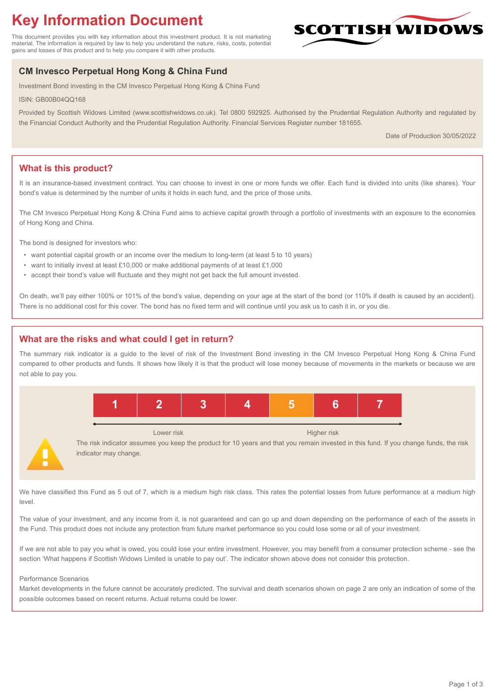# **Key Information Document**

This document provides you with key information about this investment product. It is not marketing material. The information is required by law to help you understand the nature, risks, costs, potential gains and losses of this product and to help you compare it with other products.

## **CM Invesco Perpetual Hong Kong & China Fund**

Investment Bond investing in the CM Invesco Perpetual Hong Kong & China Fund

ISIN: GB00B04QQ168

Provided by Scottish Widows Limited (www.scottishwidows.co.uk). Tel 0800 592925. Authorised by the Prudential Regulation Authority and regulated by the Financial Conduct Authority and the Prudential Regulation Authority. Financial Services Register number 181655.

Date of Production 30/05/2022

SCOTTISH WIDOV

## **What is this product?**

It is an insurance-based investment contract. You can choose to invest in one or more funds we offer. Each fund is divided into units (like shares). Your bond's value is determined by the number of units it holds in each fund, and the price of those units.

The CM Invesco Perpetual Hong Kong & China Fund aims to achieve capital growth through a portfolio of investments with an exposure to the economies of Hong Kong and China.

The bond is designed for investors who:

- want potential capital growth or an income over the medium to long-term (at least 5 to 10 years)
- want to initially invest at least £10,000 or make additional payments of at least £1,000
- accept their bond's value will fluctuate and they might not get back the full amount invested.

On death, we'll pay either 100% or 101% of the bond's value, depending on your age at the start of the bond (or 110% if death is caused by an accident). There is no additional cost for this cover. The bond has no fixed term and will continue until you ask us to cash it in, or you die.

## **What are the risks and what could I get in return?**

The summary risk indicator is a guide to the level of risk of the Investment Bond investing in the CM Invesco Perpetual Hong Kong & China Fund compared to other products and funds. It shows how likely it is that the product will lose money because of movements in the markets or because we are not able to pay you.



The risk indicator assumes you keep the product for 10 years and that you remain invested in this fund. If you change funds, the risk indicator may change.

We have classified this Fund as 5 out of 7, which is a medium high risk class. This rates the potential losses from future performance at a medium high level.

The value of your investment, and any income from it, is not guaranteed and can go up and down depending on the performance of each of the assets in the Fund. This product does not include any protection from future market performance so you could lose some or all of your investment.

If we are not able to pay you what is owed, you could lose your entire investment. However, you may benefit from a consumer protection scheme - see the section 'What happens if Scottish Widows Limited is unable to pay out'. The indicator shown above does not consider this protection.

#### Performance Scenarios

Market developments in the future cannot be accurately predicted. The survival and death scenarios shown on page 2 are only an indication of some of the possible outcomes based on recent returns. Actual returns could be lower.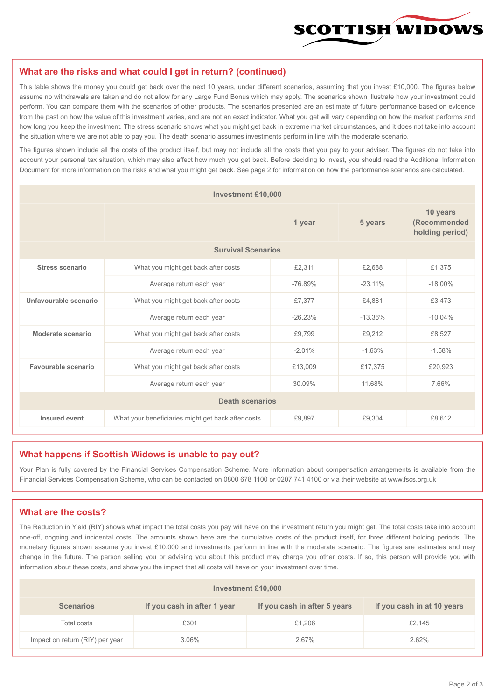

#### **What are the risks and what could I get in return? (continued)**

This table shows the money you could get back over the next 10 years, under different scenarios, assuming that you invest £10,000. The figures below assume no withdrawals are taken and do not allow for any Large Fund Bonus which may apply. The scenarios shown illustrate how your investment could perform. You can compare them with the scenarios of other products. The scenarios presented are an estimate of future performance based on evidence from the past on how the value of this investment varies, and are not an exact indicator. What you get will vary depending on how the market performs and how long you keep the investment. The stress scenario shows what you might get back in extreme market circumstances, and it does not take into account the situation where we are not able to pay you. The death scenario assumes investments perform in line with the moderate scenario.

The figures shown include all the costs of the product itself, but may not include all the costs that you pay to your adviser. The figures do not take into account your personal tax situation, which may also affect how much you get back. Before deciding to invest, you should read the Additional Information Document for more information on the risks and what you might get back. See page 2 for information on how the performance scenarios are calculated.

| <b>Investment £10,000</b> |                                                    |           |           |                                             |  |  |
|---------------------------|----------------------------------------------------|-----------|-----------|---------------------------------------------|--|--|
|                           | 1 year                                             |           | 5 years   | 10 years<br>(Recommended<br>holding period) |  |  |
| <b>Survival Scenarios</b> |                                                    |           |           |                                             |  |  |
| <b>Stress scenario</b>    | £2,311<br>What you might get back after costs      |           | £2.688    | £1,375                                      |  |  |
|                           | Average return each year<br>$-76.89%$              |           | $-23.11%$ | $-18.00\%$                                  |  |  |
| Unfavourable scenario     | £7,377<br>What you might get back after costs      |           | £4,881    | £3,473                                      |  |  |
|                           | Average return each year                           | $-26.23%$ | $-13.36%$ | $-10.04%$                                   |  |  |
| Moderate scenario         | What you might get back after costs                | £9,799    | £9,212    | £8,527                                      |  |  |
|                           | Average return each year                           | $-2.01%$  | $-1.63%$  | $-1.58%$                                    |  |  |
| Favourable scenario       | What you might get back after costs                | £13,009   | £17,375   | £20,923                                     |  |  |
| Average return each year  |                                                    | 30.09%    | 11.68%    | 7.66%                                       |  |  |
| <b>Death scenarios</b>    |                                                    |           |           |                                             |  |  |
| Insured event             | What your beneficiaries might get back after costs | £9,897    | £9,304    | £8,612                                      |  |  |

#### **What happens if Scottish Widows is unable to pay out?**

Your Plan is fully covered by the Financial Services Compensation Scheme. More information about compensation arrangements is available from the Financial Services Compensation Scheme, who can be contacted on 0800 678 1100 or 0207 741 4100 or via their website at www.fscs.org.uk

#### **What are the costs?**

The Reduction in Yield (RIY) shows what impact the total costs you pay will have on the investment return you might get. The total costs take into account one-off, ongoing and incidental costs. The amounts shown here are the cumulative costs of the product itself, for three different holding periods. The monetary figures shown assume you invest £10,000 and investments perform in line with the moderate scenario. The figures are estimates and may change in the future. The person selling you or advising you about this product may charge you other costs. If so, this person will provide you with information about these costs, and show you the impact that all costs will have on your investment over time.

| Investment £10,000              |                             |                              |                            |  |  |  |
|---------------------------------|-----------------------------|------------------------------|----------------------------|--|--|--|
| <b>Scenarios</b>                | If you cash in after 1 year | If you cash in after 5 years | If you cash in at 10 years |  |  |  |
| Total costs                     | £301                        | £1,206                       | £2,145                     |  |  |  |
| Impact on return (RIY) per year | 3.06%                       | 2.67%                        | 2.62%                      |  |  |  |